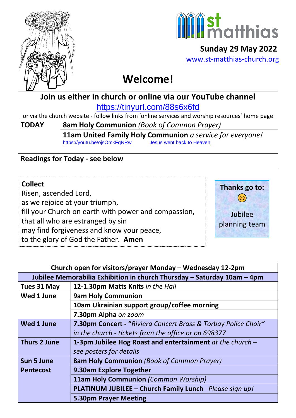



 **Sunday 29 May 2022** [www.st-matthias-church.org](http://www.st-matthias-church.org/)

# **Welcome!**

**Join us either in church or online via our YouTube channel** <https://tinyurl.com/88s6x6fd>

or via the church website - follow links from 'online services and worship resources' home page

**TODAY 8am Holy Communion** *(Book of Common Prayer)* **11am United Family Holy Communion** *a service for everyone!* <https://youtu.be/ojsOmkFqNRw>[Jesus went back to Heaven](https://d3hgrlq6yacptf.cloudfront.net/5f107d5e319c5/content/pages/documents/jesus-went-back-to-heaven.pdf)

**Readings for Today - see below**

## **Collect**

Risen, ascended Lord, as we rejoice at your triumph, fill your Church on earth with power and compassion, that all who are estranged by sin may find forgiveness and know your peace, to the glory of God the Father. **Amen** 



| Church open for visitors/prayer Monday – Wednesday 12-2pm               |                                                                |
|-------------------------------------------------------------------------|----------------------------------------------------------------|
| Jubilee Memorabilia Exhibition in church Thursday - Saturday 10am - 4pm |                                                                |
| Tues 31 May                                                             | 12-1.30pm Matts Knits in the Hall                              |
| Wed 1 June                                                              | <b>9am Holy Communion</b>                                      |
|                                                                         | 10am Ukrainian support group/coffee morning                    |
|                                                                         | 7.30pm Alpha on zoom                                           |
| <b>Wed 1 June</b>                                                       | 7.30pm Concert - "Riviera Concert Brass & Torbay Police Choir" |
|                                                                         | in the church - tickets from the office or on 698377           |
| <b>Thurs 2 June</b>                                                     | 1-3pm Jubilee Hog Roast and entertainment $at$ the church $-$  |
|                                                                         | see posters for details                                        |
| <b>Sun 5 June</b>                                                       | <b>8am Holy Communion</b> (Book of Common Prayer)              |
| <b>Pentecost</b>                                                        | 9.30am Explore Together                                        |
|                                                                         | 11am Holy Communion (Common Worship)                           |
|                                                                         | PLATINUM JUBILEE - Church Family Lunch Please sign up!         |
|                                                                         | <b>5.30pm Prayer Meeting</b>                                   |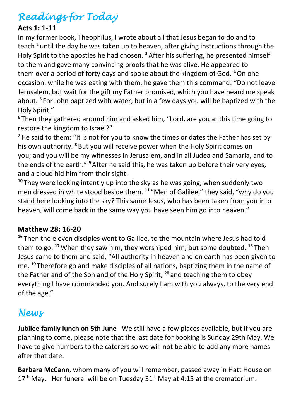# *Readings for Today*

### **Acts 1: 1-11**

In my former book, Theophilus, I wrote about all that Jesus began to do and to teach **<sup>2</sup>** until the day he was taken up to heaven, after giving instructions through the Holy Spirit to the apostles he had chosen. **<sup>3</sup>**After his suffering, he presented himself to them and gave many convincing proofs that he was alive. He appeared to them over a period of forty days and spoke about the kingdom of God. **<sup>4</sup>**On one occasion, while he was eating with them, he gave them this command: "Do not leave Jerusalem, but wait for the gift my Father promised, which you have heard me speak about. **<sup>5</sup>** For John baptized with water, but in a few days you will be baptized with the Holy Spirit."

**6** Then they gathered around him and asked him, "Lord, are you at this time going to restore the kingdom to Israel?"

<sup>7</sup> He said to them: "It is not for you to know the times or dates the Father has set by his own authority. **<sup>8</sup>**But you will receive power when the Holy Spirit comes on you; and you will be my witnesses in Jerusalem, and in all Judea and Samaria, and to the ends of the earth." **<sup>9</sup>**After he said this, he was taken up before their very eyes, and a cloud hid him from their sight.

**<sup>10</sup>** They were looking intently up into the sky as he was going, when suddenly two men dressed in white stood beside them. **<sup>11</sup>** "Men of Galilee," they said, "why do you stand here looking into the sky? This same Jesus, who has been taken from you into heaven, will come back in the same way you have seen him go into heaven."

#### **Matthew 28: 16-20**

**<sup>16</sup>** Then the eleven disciples went to Galilee, to the mountain where Jesus had told them to go. **<sup>17</sup>**When they saw him, they worshiped him; but some doubted. **<sup>18</sup>** Then Jesus came to them and said, "All authority in heaven and on earth has been given to me. **<sup>19</sup>** Therefore go and make disciples of all nations, baptizing them in the name of the Father and of the Son and of the Holy Spirit, **<sup>20</sup>** and teaching them to obey everything I have commanded you. And surely I am with you always, to the very end of the age."

# *News*

**Jubilee family lunch on 5th June** We still have a few places available, but if you are planning to come, please note that the last date for booking is Sunday 29th May. We have to give numbers to the caterers so we will not be able to add any more names after that date.

**Barbara McCann**, whom many of you will remember, passed away in Hatt House on  $17<sup>th</sup>$  May. Her funeral will be on Tuesday  $31<sup>st</sup>$  May at 4:15 at the crematorium.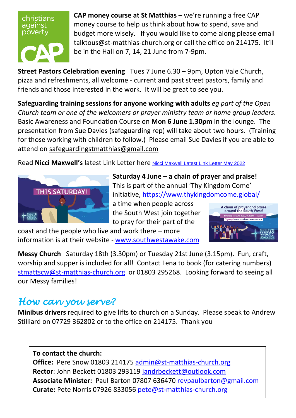christians against poverty



**CAP money course at St Matthias** – we're running a free CAP money course to help us think about how to spend, save and budget more wisely. If you would like to come along please email [talktous@st-matthias-church.org](mailto:talktous@st-matthias-church.org) or call the office on 214175. It'll be in the Hall on 7, 14, 21 June from 7-9pm.

**Street Pastors Celebration evening** Tues 7 June 6.30 – 9pm, Upton Vale Church, pizza and refreshments, all welcome - current and past street pastors, family and friends and those interested in the work. It will be great to see you.

**Safeguarding training sessions for anyone working with adults** *eg part of the Open Church team or one of the welcomers or prayer ministry team or home group leaders.* Basic Awareness and Foundation Course on **Mon 6 June 1.30pm** in the lounge. The presentation from Sue Davies (safeguarding rep) will take about two hours. (Training for those working with children to follow.) Please email Sue Davies if you are able to attend on [safeguardingstmatthias@gmail.com](mailto:safeguardingstmatthias@gmail.com)

Read **Nicci Maxwell's** latest Link Letter here [Nicci Maxwell Latest Link Letter May 2022](https://d3hgrlq6yacptf.cloudfront.net/5f107d5e319c5/content/pages/documents/cms-link-letter-maxwell-may-2022.pdf)



**Saturday 4 June – a chain of prayer and praise!** This is part of the annual 'Thy Kingdom Come' initiative,<https://www.thykingdomcome.global/>

a time when people across the South West join together to pray for their part of the



coast and the people who live and work there – more information is at their website - [www.southwestawake.com](http://www.southwestawake.com/)

**Messy Church** Saturday 18th (3.30pm) or Tuesday 21st June (3.15pm). Fun, craft, worship and supper is included for all! Contact Lena to book (for catering numbers) [stmattscw@st-matthias-church.org](mailto:stmattscw@st-matthias-church.org) or 01803 295268. Looking forward to seeing all our Messy families!

# *How can you serve?*

**Minibus drivers** required to give lifts to church on a Sunday. Please speak to Andrew Stilliard on 07729 362802 or to the office on 214175. Thank you

#### **To contact the church:**

**Office:** Pere Snow 01803 214175 [admin@st-matthias-church.org](mailto:admin@st-matthias-church.org) **Rector**: John Beckett 01803 293119 [jandrbeckett@outlook.com](mailto:jandrbeckett@outlook.com) **Associate Minister:** Paul Barton 07807 636470 [revpaulbarton@gmail.com](mailto:revpaulbarton@gmail.com) **Curate:** Pete Norris 07926 833056 [pete@st-matthias-church.org](mailto:pete@st-matthias-church.org)